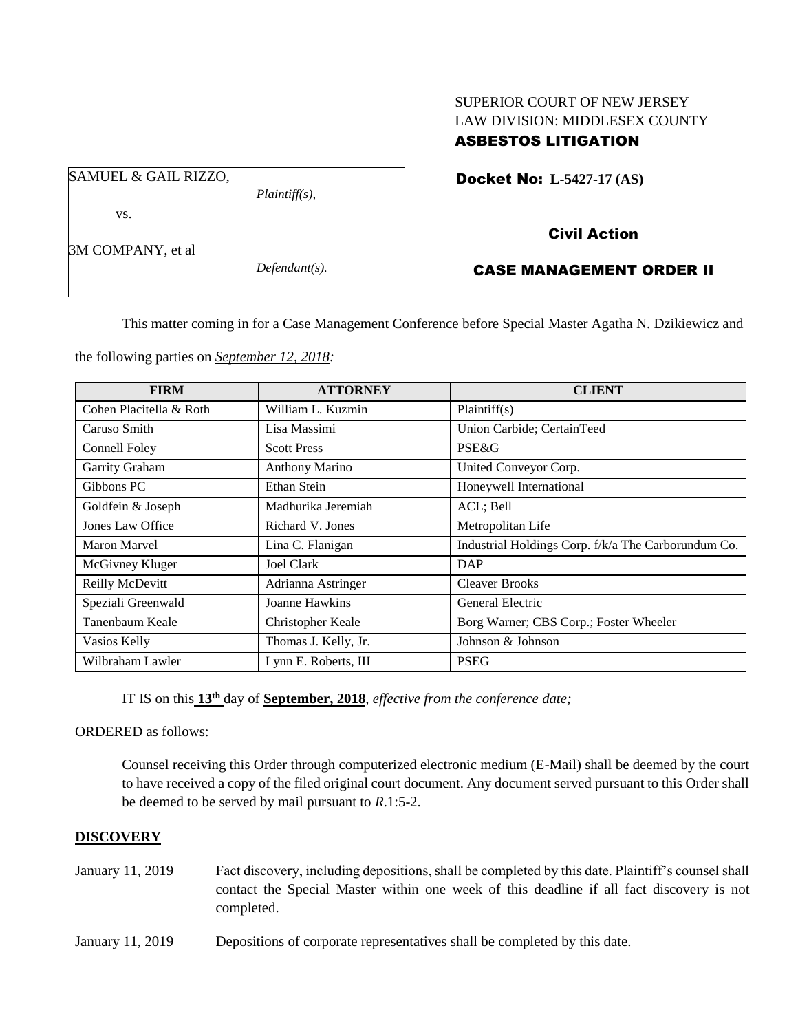# SUPERIOR COURT OF NEW JERSEY LAW DIVISION: MIDDLESEX COUNTY ASBESTOS LITIGATION

Docket No: **L-5427-17 (AS)** 

SAMUEL & GAIL RIZZO,

*Plaintiff(s),*

Civil Action

# 3M COMPANY, et al

vs.

*Defendant(s).*

# CASE MANAGEMENT ORDER II

This matter coming in for a Case Management Conference before Special Master Agatha N. Dzikiewicz and

the following parties on *September 12, 2018:*

| <b>FIRM</b>             | <b>ATTORNEY</b>       | <b>CLIENT</b>                                       |
|-------------------------|-----------------------|-----------------------------------------------------|
| Cohen Placitella & Roth | William L. Kuzmin     | Plaintiff(s)                                        |
| Caruso Smith            | Lisa Massimi          | Union Carbide; CertainTeed                          |
| Connell Foley           | <b>Scott Press</b>    | PSE&G                                               |
| Garrity Graham          | <b>Anthony Marino</b> | United Conveyor Corp.                               |
| Gibbons PC              | Ethan Stein           | Honeywell International                             |
| Goldfein & Joseph       | Madhurika Jeremiah    | ACL; Bell                                           |
| Jones Law Office        | Richard V. Jones      | Metropolitan Life                                   |
| Maron Marvel            | Lina C. Flanigan      | Industrial Holdings Corp. f/k/a The Carborundum Co. |
| McGivney Kluger         | <b>Joel Clark</b>     | DAP                                                 |
| Reilly McDevitt         | Adrianna Astringer    | <b>Cleaver Brooks</b>                               |
| Speziali Greenwald      | Joanne Hawkins        | General Electric                                    |
| Tanenbaum Keale         | Christopher Keale     | Borg Warner; CBS Corp.; Foster Wheeler              |
| Vasios Kelly            | Thomas J. Kelly, Jr.  | Johnson & Johnson                                   |
| Wilbraham Lawler        | Lynn E. Roberts, III  | <b>PSEG</b>                                         |

IT IS on this **13 th** day of **September, 2018**, *effective from the conference date;*

ORDERED as follows:

Counsel receiving this Order through computerized electronic medium (E-Mail) shall be deemed by the court to have received a copy of the filed original court document. Any document served pursuant to this Order shall be deemed to be served by mail pursuant to *R*.1:5-2.

### **DISCOVERY**

- January 11, 2019 Fact discovery, including depositions, shall be completed by this date. Plaintiff's counsel shall contact the Special Master within one week of this deadline if all fact discovery is not completed.
- January 11, 2019 Depositions of corporate representatives shall be completed by this date.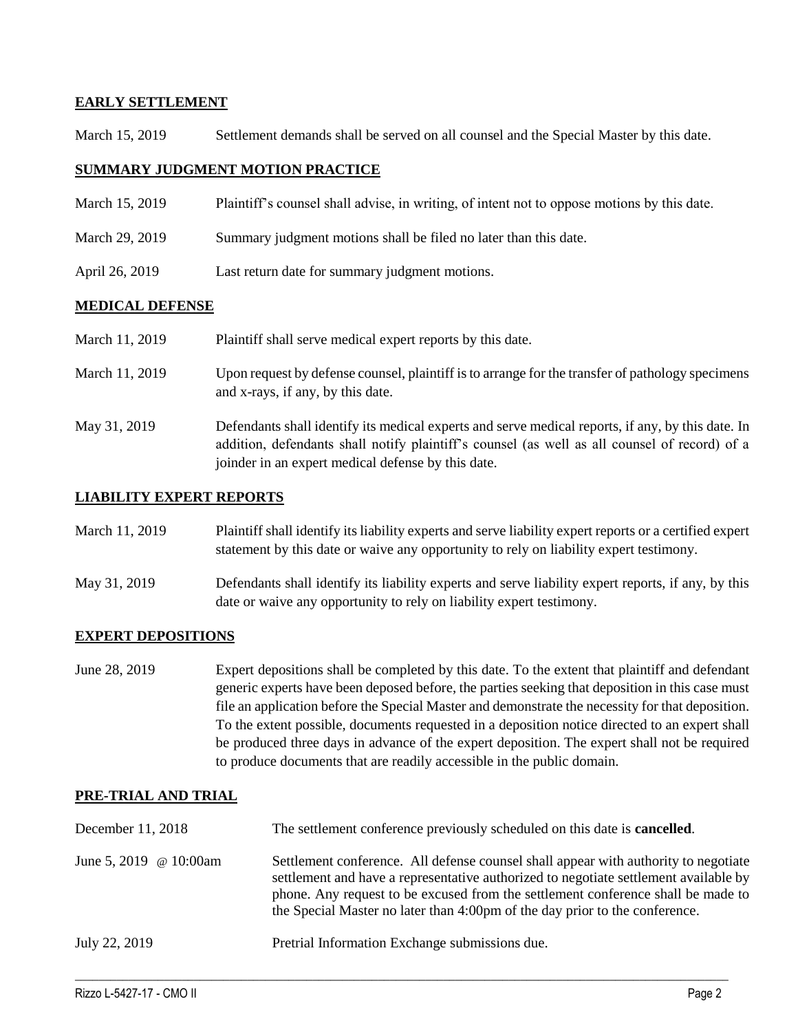## **EARLY SETTLEMENT**

March 15, 2019 Settlement demands shall be served on all counsel and the Special Master by this date.

### **SUMMARY JUDGMENT MOTION PRACTICE**

- March 15, 2019 Plaintiff's counsel shall advise, in writing, of intent not to oppose motions by this date.
- March 29, 2019 Summary judgment motions shall be filed no later than this date.
- April 26, 2019 Last return date for summary judgment motions.

### **MEDICAL DEFENSE**

| March 11, 2019 | Plaintiff shall serve medical expert reports by this date.                                                                                                                                                                                               |
|----------------|----------------------------------------------------------------------------------------------------------------------------------------------------------------------------------------------------------------------------------------------------------|
| March 11, 2019 | Upon request by defense counsel, plaintiff is to arrange for the transfer of pathology specimens<br>and x-rays, if any, by this date.                                                                                                                    |
| May 31, 2019   | Defendants shall identify its medical experts and serve medical reports, if any, by this date. In<br>addition, defendants shall notify plaintiff's counsel (as well as all counsel of record) of a<br>joinder in an expert medical defense by this date. |

### **LIABILITY EXPERT REPORTS**

| March 11, 2019 | Plaintiff shall identify its liability experts and serve liability expert reports or a certified expert |
|----------------|---------------------------------------------------------------------------------------------------------|
|                | statement by this date or waive any opportunity to rely on liability expert testimony.                  |

May 31, 2019 Defendants shall identify its liability experts and serve liability expert reports, if any, by this date or waive any opportunity to rely on liability expert testimony.

## **EXPERT DEPOSITIONS**

June 28, 2019 Expert depositions shall be completed by this date. To the extent that plaintiff and defendant generic experts have been deposed before, the parties seeking that deposition in this case must file an application before the Special Master and demonstrate the necessity for that deposition. To the extent possible, documents requested in a deposition notice directed to an expert shall be produced three days in advance of the expert deposition. The expert shall not be required to produce documents that are readily accessible in the public domain.

### **PRE-TRIAL AND TRIAL**

| December 11, 2018             | The settlement conference previously scheduled on this date is <b>cancelled</b> .                                                                                                                                                                                                                                                              |
|-------------------------------|------------------------------------------------------------------------------------------------------------------------------------------------------------------------------------------------------------------------------------------------------------------------------------------------------------------------------------------------|
| June 5, 2019 $\omega$ 10:00am | Settlement conference. All defense counsel shall appear with authority to negotiate<br>settlement and have a representative authorized to negotiate settlement available by<br>phone. Any request to be excused from the settlement conference shall be made to<br>the Special Master no later than 4:00pm of the day prior to the conference. |
| July 22, 2019                 | Pretrial Information Exchange submissions due.                                                                                                                                                                                                                                                                                                 |

 $\_$  ,  $\_$  ,  $\_$  ,  $\_$  ,  $\_$  ,  $\_$  ,  $\_$  ,  $\_$  ,  $\_$  ,  $\_$  ,  $\_$  ,  $\_$  ,  $\_$  ,  $\_$  ,  $\_$  ,  $\_$  ,  $\_$  ,  $\_$  ,  $\_$  ,  $\_$  ,  $\_$  ,  $\_$  ,  $\_$  ,  $\_$  ,  $\_$  ,  $\_$  ,  $\_$  ,  $\_$  ,  $\_$  ,  $\_$  ,  $\_$  ,  $\_$  ,  $\_$  ,  $\_$  ,  $\_$  ,  $\_$  ,  $\_$  ,